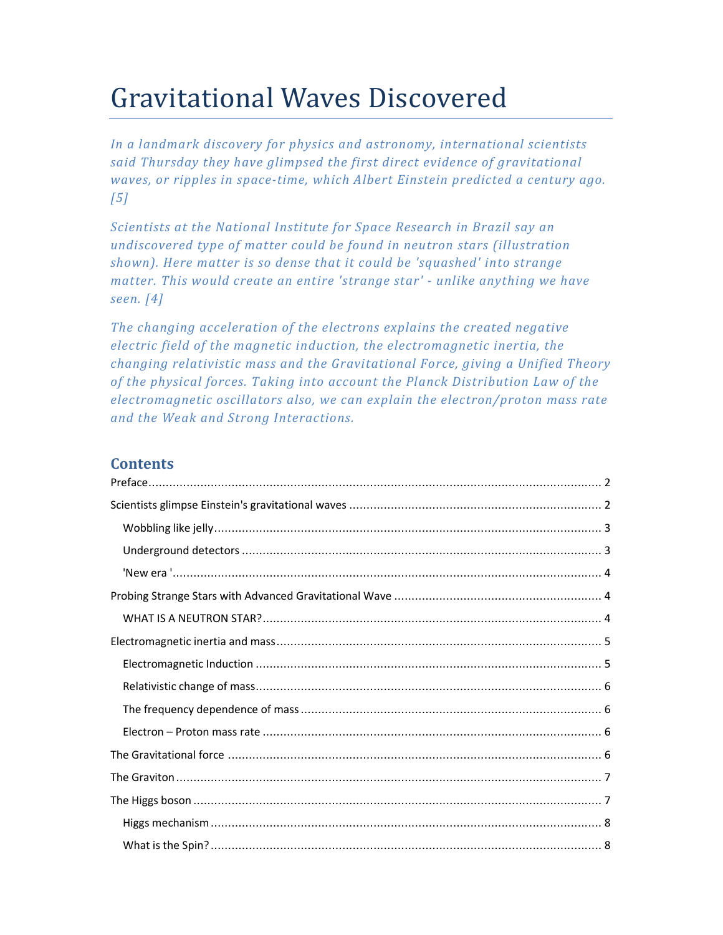# Gravitational Waves Discovered

*In a landmark discovery for physics and astronomy, international scientists said Thursday they have glimpsed the first direct evidence of gravitational waves, or ripples in space-time, which Albert Einstein predicted a century ago. [5]* 

*Scientists at the National Institute for Space Research in Brazil say an undiscovered type of matter could be found in neutron stars (illustration shown). Here matter is so dense that it could be 'squashed' into strange matter. This would create an entire 'strange star' - unlike anything we have seen. [4]* 

*The changing acceleration of the electrons explains the created negative electric field of the magnetic induction, the electromagnetic inertia, the changing relativistic mass and the Gravitational Force, giving a Unified Theory of the physical forces. Taking into account the Planck Distribution Law of the electromagnetic oscillators also, we can explain the electron/proton mass rate and the Weak and Strong Interactions.* 

## **Contents**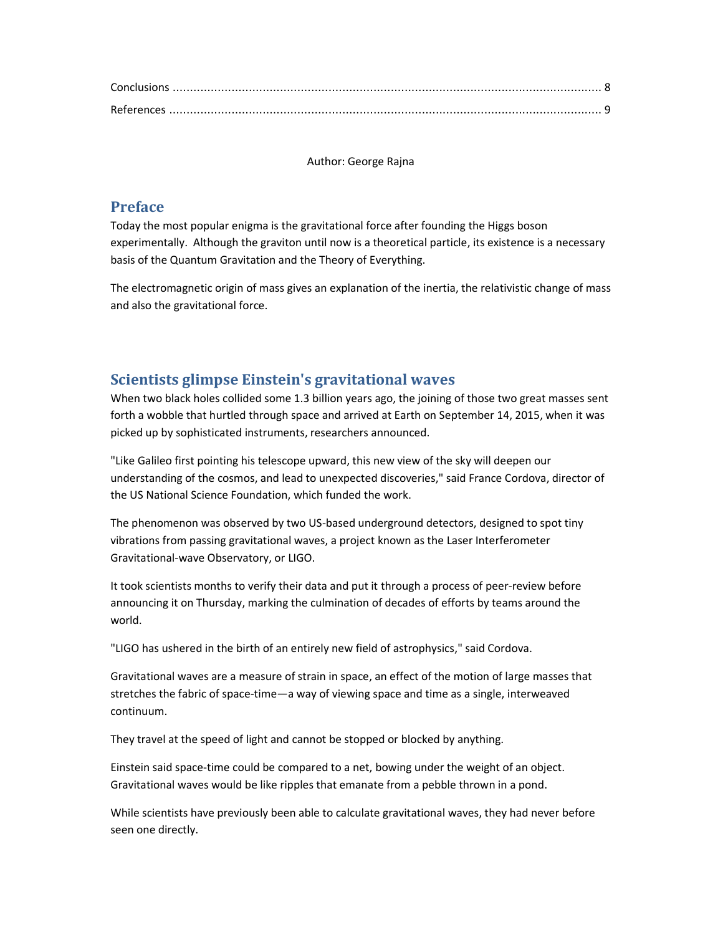Author: George Rajna

## **Preface**

Today the most popular enigma is the gravitational force after founding the Higgs boson experimentally. Although the graviton until now is a theoretical particle, its existence is a necessary basis of the Quantum Gravitation and the Theory of Everything.

The electromagnetic origin of mass gives an explanation of the inertia, the relativistic change of mass and also the gravitational force.

# **Scientists glimpse Einstein's gravitational waves**

When two black holes collided some 1.3 billion years ago, the joining of those two great masses sent forth a wobble that hurtled through space and arrived at Earth on September 14, 2015, when it was picked up by sophisticated instruments, researchers announced.

"Like Galileo first pointing his telescope upward, this new view of the sky will deepen our understanding of the cosmos, and lead to unexpected discoveries," said France Cordova, director of the US National Science Foundation, which funded the work.

The phenomenon was observed by two US-based underground detectors, designed to spot tiny vibrations from passing gravitational waves, a project known as the Laser Interferometer Gravitational-wave Observatory, or LIGO.

It took scientists months to verify their data and put it through a process of peer-review before announcing it on Thursday, marking the culmination of decades of efforts by teams around the world.

"LIGO has ushered in the birth of an entirely new field of astrophysics," said Cordova.

Gravitational waves are a measure of strain in space, an effect of the motion of large masses that stretches the fabric of space-time—a way of viewing space and time as a single, interweaved continuum.

They travel at the speed of light and cannot be stopped or blocked by anything.

Einstein said space-time could be compared to a net, bowing under the weight of an object. Gravitational waves would be like ripples that emanate from a pebble thrown in a pond.

While scientists have previously been able to calculate gravitational waves, they had never before seen one directly.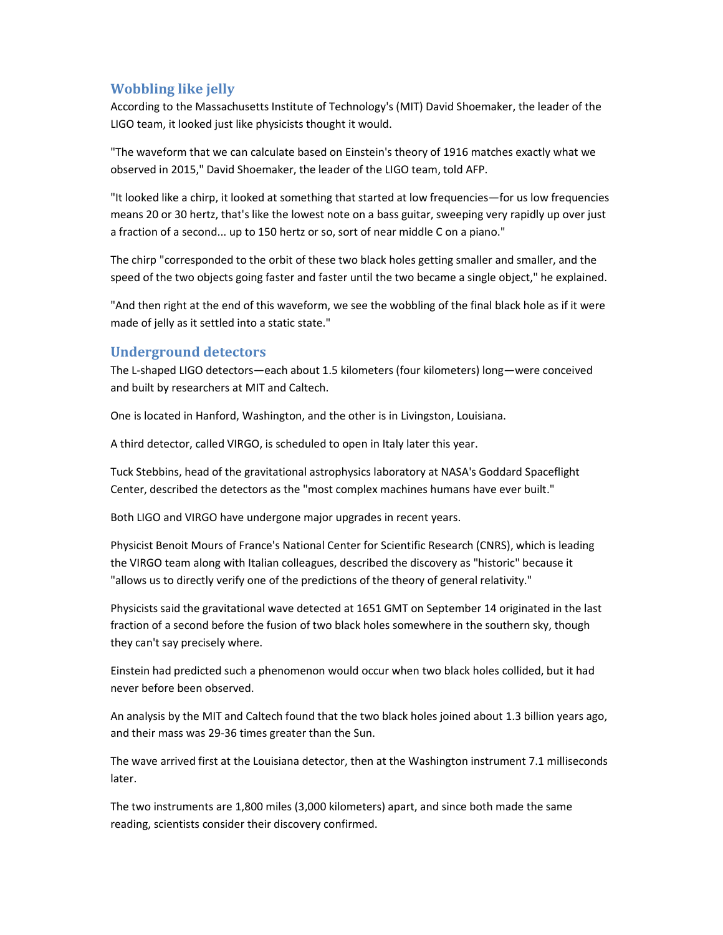## **Wobbling like jelly**

According to the Massachusetts Institute of Technology's (MIT) David Shoemaker, the leader of the LIGO team, it looked just like physicists thought it would.

"The waveform that we can calculate based on Einstein's theory of 1916 matches exactly what we observed in 2015," David Shoemaker, the leader of the LIGO team, told AFP.

"It looked like a chirp, it looked at something that started at low frequencies—for us low frequencies means 20 or 30 hertz, that's like the lowest note on a bass guitar, sweeping very rapidly up over just a fraction of a second... up to 150 hertz or so, sort of near middle C on a piano."

The chirp "corresponded to the orbit of these two black holes getting smaller and smaller, and the speed of the two objects going faster and faster until the two became a single object," he explained.

"And then right at the end of this waveform, we see the wobbling of the final black hole as if it were made of jelly as it settled into a static state."

#### **Underground detectors**

The L-shaped LIGO detectors—each about 1.5 kilometers (four kilometers) long—were conceived and built by researchers at MIT and Caltech.

One is located in Hanford, Washington, and the other is in Livingston, Louisiana.

A third detector, called VIRGO, is scheduled to open in Italy later this year.

Tuck Stebbins, head of the gravitational astrophysics laboratory at NASA's Goddard Spaceflight Center, described the detectors as the "most complex machines humans have ever built."

Both LIGO and VIRGO have undergone major upgrades in recent years.

Physicist Benoit Mours of France's National Center for Scientific Research (CNRS), which is leading the VIRGO team along with Italian colleagues, described the discovery as "historic" because it "allows us to directly verify one of the predictions of the theory of general relativity."

Physicists said the gravitational wave detected at 1651 GMT on September 14 originated in the last fraction of a second before the fusion of two black holes somewhere in the southern sky, though they can't say precisely where.

Einstein had predicted such a phenomenon would occur when two black holes collided, but it had never before been observed.

An analysis by the MIT and Caltech found that the two black holes joined about 1.3 billion years ago, and their mass was 29-36 times greater than the Sun.

The wave arrived first at the Louisiana detector, then at the Washington instrument 7.1 milliseconds later.

The two instruments are 1,800 miles (3,000 kilometers) apart, and since both made the same reading, scientists consider their discovery confirmed.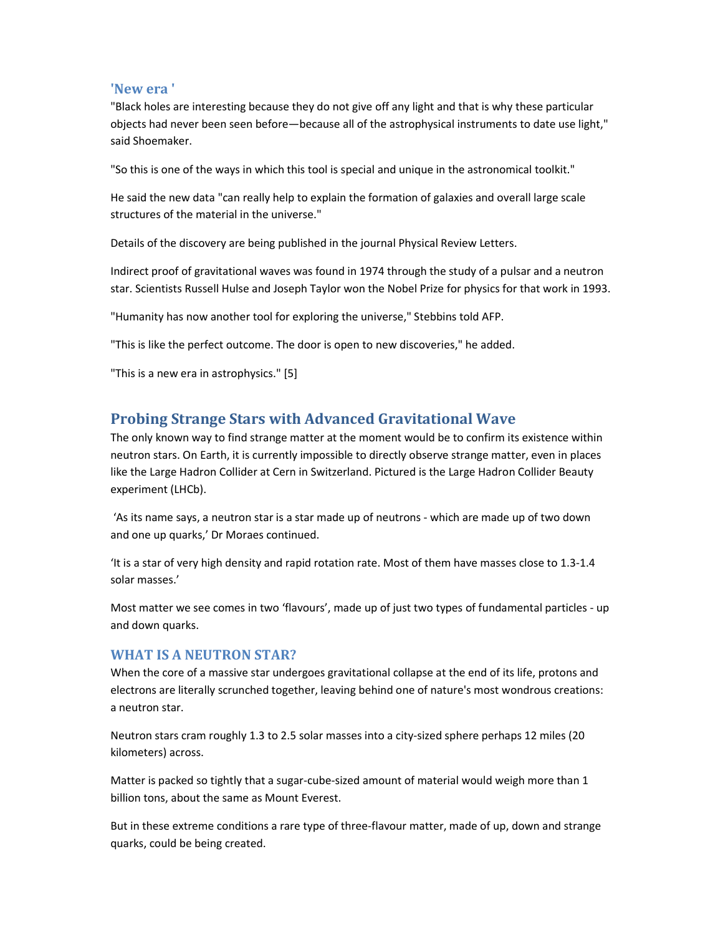#### **'New era '**

"Black holes are interesting because they do not give off any light and that is why these particular objects had never been seen before—because all of the astrophysical instruments to date use light," said Shoemaker.

"So this is one of the ways in which this tool is special and unique in the astronomical toolkit."

He said the new data "can really help to explain the formation of galaxies and overall large scale structures of the material in the universe."

Details of the discovery are being published in the journal Physical Review Letters.

Indirect proof of gravitational waves was found in 1974 through the study of a pulsar and a neutron star. Scientists Russell Hulse and Joseph Taylor won the Nobel Prize for physics for that work in 1993.

"Humanity has now another tool for exploring the universe," Stebbins told AFP.

"This is like the perfect outcome. The door is open to new discoveries," he added.

"This is a new era in astrophysics." [5]

# **Probing Strange Stars with Advanced Gravitational Wave**

The only known way to find strange matter at the moment would be to confirm its existence within neutron stars. On Earth, it is currently impossible to directly observe strange matter, even in places like the Large Hadron Collider at Cern in Switzerland. Pictured is the Large Hadron Collider Beauty experiment (LHCb).

 'As its name says, a neutron star is a star made up of neutrons - which are made up of two down and one up quarks,' Dr Moraes continued.

'It is a star of very high density and rapid rotation rate. Most of them have masses close to 1.3-1.4 solar masses.'

Most matter we see comes in two 'flavours', made up of just two types of fundamental particles - up and down quarks.

#### **WHAT IS A NEUTRON STAR?**

When the core of a massive star undergoes gravitational collapse at the end of its life, protons and electrons are literally scrunched together, leaving behind one of nature's most wondrous creations: a neutron star.

Neutron stars cram roughly 1.3 to 2.5 solar masses into a city-sized sphere perhaps 12 miles (20 kilometers) across.

Matter is packed so tightly that a sugar-cube-sized amount of material would weigh more than 1 billion tons, about the same as Mount Everest.

But in these extreme conditions a rare type of three-flavour matter, made of up, down and strange quarks, could be being created.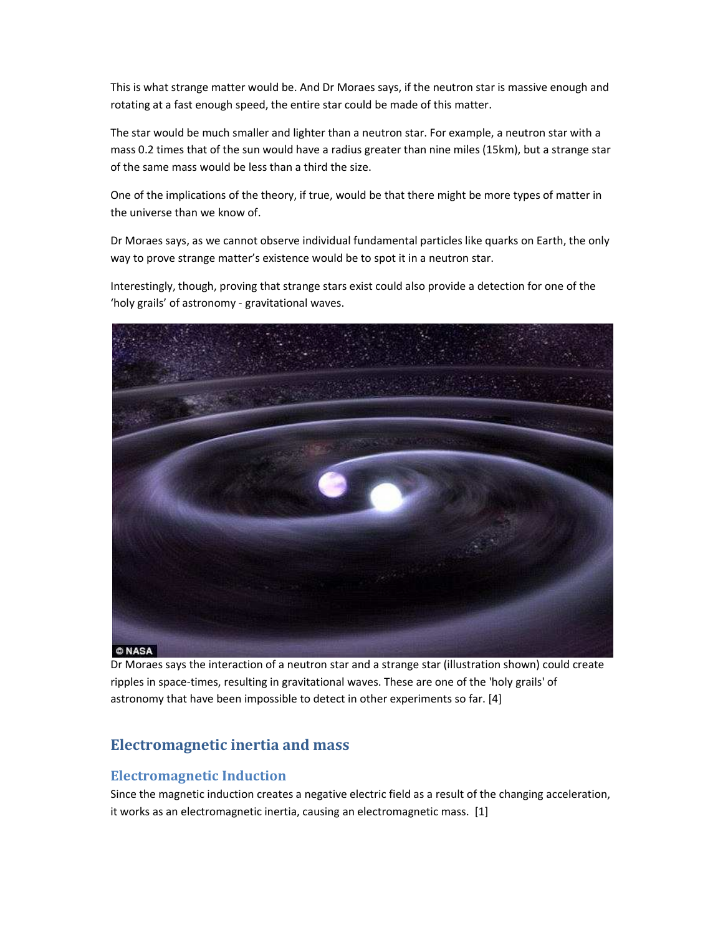This is what strange matter would be. And Dr Moraes says, if the neutron star is massive enough and rotating at a fast enough speed, the entire star could be made of this matter.

The star would be much smaller and lighter than a neutron star. For example, a neutron star with a mass 0.2 times that of the sun would have a radius greater than nine miles (15km), but a strange star of the same mass would be less than a third the size.

One of the implications of the theory, if true, would be that there might be more types of matter in the universe than we know of.

Dr Moraes says, as we cannot observe individual fundamental particles like quarks on Earth, the only way to prove strange matter's existence would be to spot it in a neutron star.

Interestingly, though, proving that strange stars exist could also provide a detection for one of the 'holy grails' of astronomy - gravitational waves.



Dr Moraes says the interaction of a neutron star and a strange star (illustration shown) could create ripples in space-times, resulting in gravitational waves. These are one of the 'holy grails' of astronomy that have been impossible to detect in other experiments so far. [4]

# **Electromagnetic inertia and mass**

#### **Electromagnetic Induction**

Since the magnetic induction creates a negative electric field as a result of the changing acceleration, it works as an electromagnetic inertia, causing an electromagnetic mass. [1]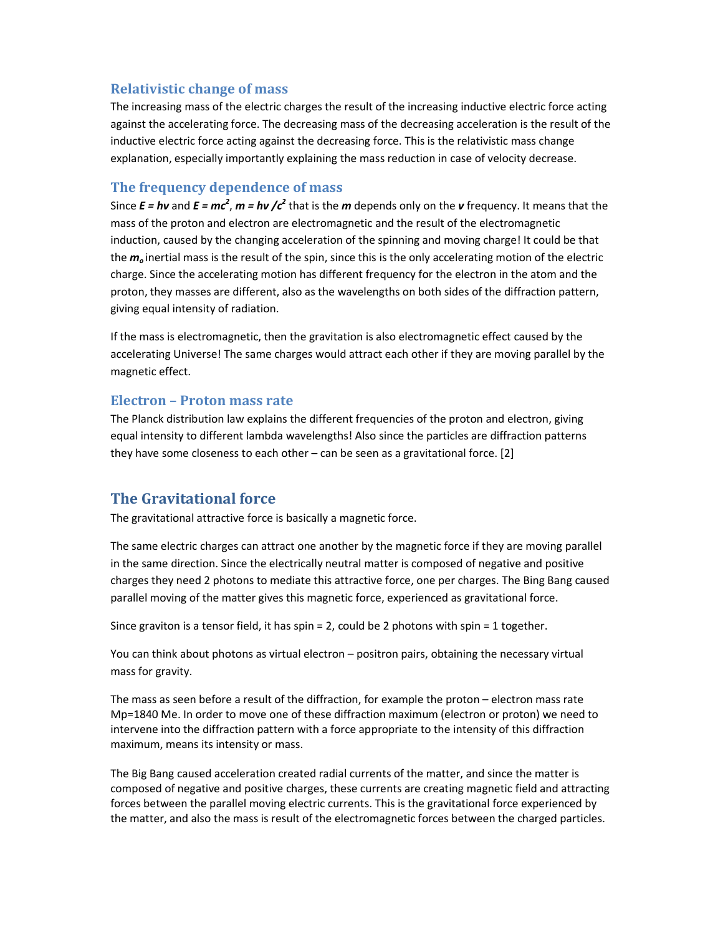### **Relativistic change of mass**

The increasing mass of the electric charges the result of the increasing inductive electric force acting against the accelerating force. The decreasing mass of the decreasing acceleration is the result of the inductive electric force acting against the decreasing force. This is the relativistic mass change explanation, especially importantly explaining the mass reduction in case of velocity decrease.

## **The frequency dependence of mass**

Since  $E = h\nu$  and  $E = mc^2$ ,  $m = h\nu$  / $c^2$  that is the  $m$  depends only on the  $\nu$  frequency. It means that the mass of the proton and electron are electromagnetic and the result of the electromagnetic induction, caused by the changing acceleration of the spinning and moving charge! It could be that the *m<sup>o</sup>* inertial mass is the result of the spin, since this is the only accelerating motion of the electric charge. Since the accelerating motion has different frequency for the electron in the atom and the proton, they masses are different, also as the wavelengths on both sides of the diffraction pattern, giving equal intensity of radiation.

If the mass is electromagnetic, then the gravitation is also electromagnetic effect caused by the accelerating Universe! The same charges would attract each other if they are moving parallel by the magnetic effect.

#### **Electron – Proton mass rate**

The Planck distribution law explains the different frequencies of the proton and electron, giving equal intensity to different lambda wavelengths! Also since the particles are diffraction patterns they have some closeness to each other – can be seen as a gravitational force. [2]

# **The Gravitational force**

The gravitational attractive force is basically a magnetic force.

The same electric charges can attract one another by the magnetic force if they are moving parallel in the same direction. Since the electrically neutral matter is composed of negative and positive charges they need 2 photons to mediate this attractive force, one per charges. The Bing Bang caused parallel moving of the matter gives this magnetic force, experienced as gravitational force.

Since graviton is a tensor field, it has spin  $= 2$ , could be 2 photons with spin  $= 1$  together.

You can think about photons as virtual electron – positron pairs, obtaining the necessary virtual mass for gravity.

The mass as seen before a result of the diffraction, for example the proton – electron mass rate Mp=1840 Me. In order to move one of these diffraction maximum (electron or proton) we need to intervene into the diffraction pattern with a force appropriate to the intensity of this diffraction maximum, means its intensity or mass.

The Big Bang caused acceleration created radial currents of the matter, and since the matter is composed of negative and positive charges, these currents are creating magnetic field and attracting forces between the parallel moving electric currents. This is the gravitational force experienced by the matter, and also the mass is result of the electromagnetic forces between the charged particles.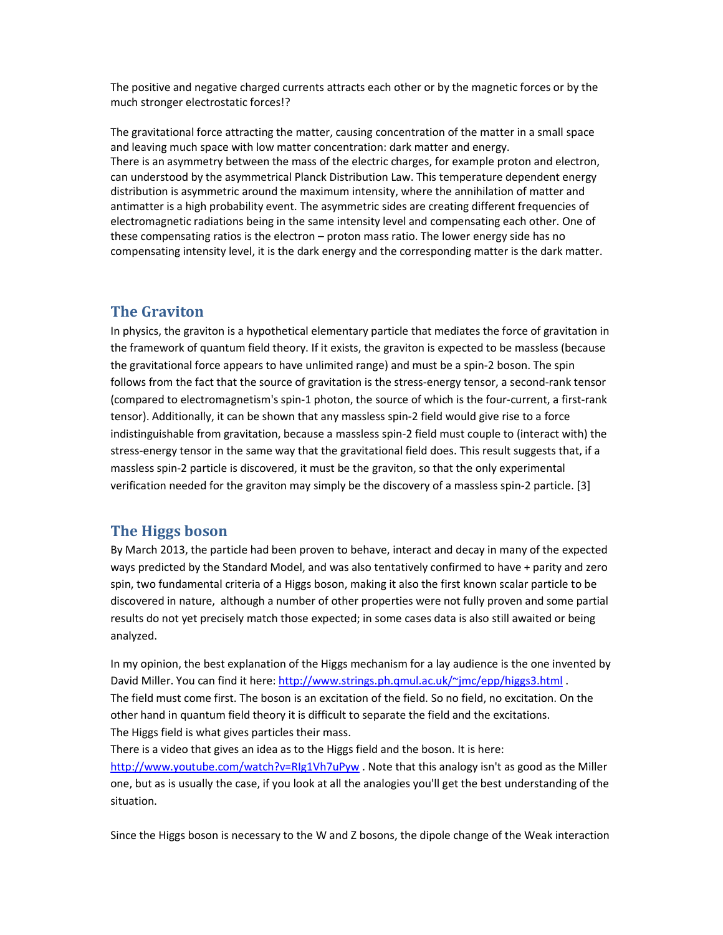The positive and negative charged currents attracts each other or by the magnetic forces or by the much stronger electrostatic forces!?

The gravitational force attracting the matter, causing concentration of the matter in a small space and leaving much space with low matter concentration: dark matter and energy. There is an asymmetry between the mass of the electric charges, for example proton and electron, can understood by the asymmetrical Planck Distribution Law. This temperature dependent energy distribution is asymmetric around the maximum intensity, where the annihilation of matter and antimatter is a high probability event. The asymmetric sides are creating different frequencies of electromagnetic radiations being in the same intensity level and compensating each other. One of these compensating ratios is the electron – proton mass ratio. The lower energy side has no compensating intensity level, it is the dark energy and the corresponding matter is the dark matter.

### **The Graviton**

In physics, the graviton is a hypothetical elementary particle that mediates the force of gravitation in the framework of quantum field theory. If it exists, the graviton is expected to be massless (because the gravitational force appears to have unlimited range) and must be a spin-2 boson. The spin follows from the fact that the source of gravitation is the stress-energy tensor, a second-rank tensor (compared to electromagnetism's spin-1 photon, the source of which is the four-current, a first-rank tensor). Additionally, it can be shown that any massless spin-2 field would give rise to a force indistinguishable from gravitation, because a massless spin-2 field must couple to (interact with) the stress-energy tensor in the same way that the gravitational field does. This result suggests that, if a massless spin-2 particle is discovered, it must be the graviton, so that the only experimental verification needed for the graviton may simply be the discovery of a massless spin-2 particle. [3]

#### **The Higgs boson**

By March 2013, the particle had been proven to behave, interact and decay in many of the expected ways predicted by the Standard Model, and was also tentatively confirmed to have + parity and zero spin, two fundamental criteria of a Higgs boson, making it also the first known scalar particle to be discovered in nature, although a number of other properties were not fully proven and some partial results do not yet precisely match those expected; in some cases data is also still awaited or being analyzed.

In my opinion, the best explanation of the Higgs mechanism for a lay audience is the one invented by David Miller. You can find it here: http://www.strings.ph.qmul.ac.uk/~jmc/epp/higgs3.html . The field must come first. The boson is an excitation of the field. So no field, no excitation. On the other hand in quantum field theory it is difficult to separate the field and the excitations. The Higgs field is what gives particles their mass.

There is a video that gives an idea as to the Higgs field and the boson. It is here: http://www.youtube.com/watch?v=RIg1Vh7uPyw . Note that this analogy isn't as good as the Miller one, but as is usually the case, if you look at all the analogies you'll get the best understanding of the situation.

Since the Higgs boson is necessary to the W and Z bosons, the dipole change of the Weak interaction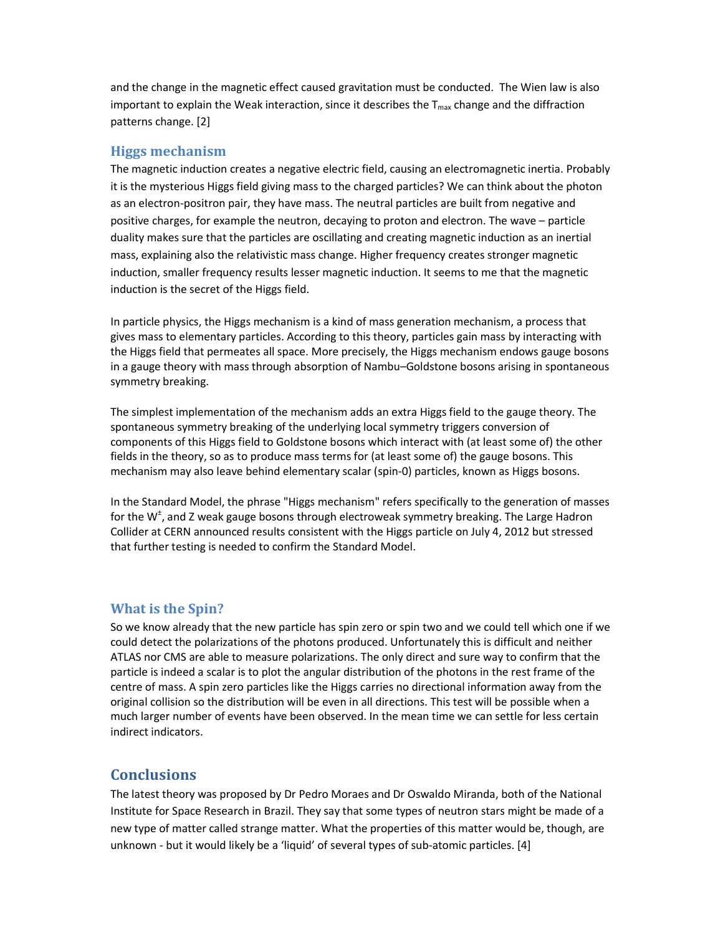and the change in the magnetic effect caused gravitation must be conducted. The Wien law is also important to explain the Weak interaction, since it describes the  $T_{\text{max}}$  change and the diffraction patterns change. [2]

#### **Higgs mechanism**

The magnetic induction creates a negative electric field, causing an electromagnetic inertia. Probably it is the mysterious Higgs field giving mass to the charged particles? We can think about the photon as an electron-positron pair, they have mass. The neutral particles are built from negative and positive charges, for example the neutron, decaying to proton and electron. The wave – particle duality makes sure that the particles are oscillating and creating magnetic induction as an inertial mass, explaining also the relativistic mass change. Higher frequency creates stronger magnetic induction, smaller frequency results lesser magnetic induction. It seems to me that the magnetic induction is the secret of the Higgs field.

In particle physics, the Higgs mechanism is a kind of mass generation mechanism, a process that gives mass to elementary particles. According to this theory, particles gain mass by interacting with the Higgs field that permeates all space. More precisely, the Higgs mechanism endows gauge bosons in a gauge theory with mass through absorption of Nambu–Goldstone bosons arising in spontaneous symmetry breaking.

The simplest implementation of the mechanism adds an extra Higgs field to the gauge theory. The spontaneous symmetry breaking of the underlying local symmetry triggers conversion of components of this Higgs field to Goldstone bosons which interact with (at least some of) the other fields in the theory, so as to produce mass terms for (at least some of) the gauge bosons. This mechanism may also leave behind elementary scalar (spin-0) particles, known as Higgs bosons.

In the Standard Model, the phrase "Higgs mechanism" refers specifically to the generation of masses for the W<sup>±</sup>, and Z weak gauge bosons through electroweak symmetry breaking. The Large Hadron Collider at CERN announced results consistent with the Higgs particle on July 4, 2012 but stressed that further testing is needed to confirm the Standard Model.

## **What is the Spin?**

So we know already that the new particle has spin zero or spin two and we could tell which one if we could detect the polarizations of the photons produced. Unfortunately this is difficult and neither ATLAS nor CMS are able to measure polarizations. The only direct and sure way to confirm that the particle is indeed a scalar is to plot the angular distribution of the photons in the rest frame of the centre of mass. A spin zero particles like the Higgs carries no directional information away from the original collision so the distribution will be even in all directions. This test will be possible when a much larger number of events have been observed. In the mean time we can settle for less certain indirect indicators.

# **Conclusions**

The latest theory was proposed by Dr Pedro Moraes and Dr Oswaldo Miranda, both of the National Institute for Space Research in Brazil. They say that some types of neutron stars might be made of a new type of matter called strange matter. What the properties of this matter would be, though, are unknown - but it would likely be a 'liquid' of several types of sub-atomic particles. [4]